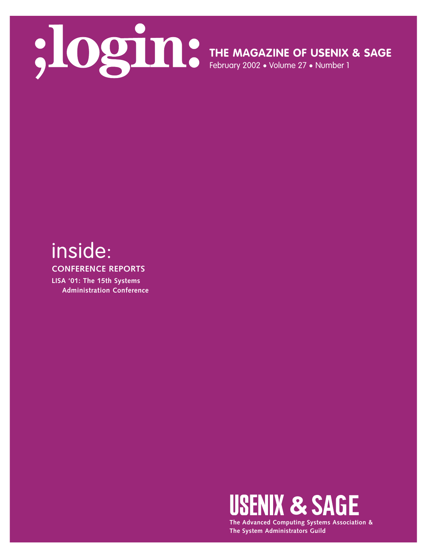

**THE MAGAZINE OF USENIX & SAGE**

February 2002 • Volume 27 • Number 1

# inside:

**CONFERENCE REPORTS**

**LISA '01: The 15th Systems Administration Conference**



**The Advanced Computing Systems Association & The System Administrators Guild**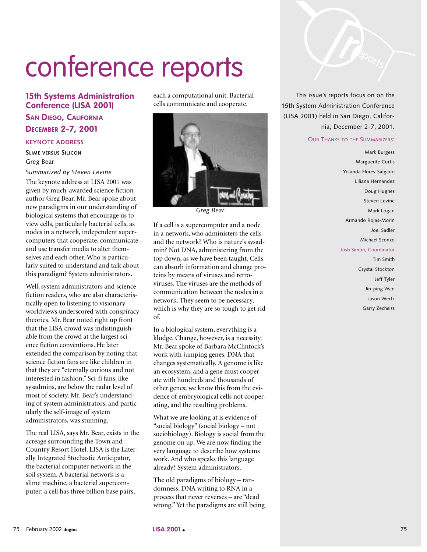# conference reports

# **15th Systems Administration Conference (LISA 2001)**

# **SAN DIEGO, CALIFORNIA DECEMBER 2-7, 2001**

#### **KEYNOTE ADDRESS**

**SLIME VERSUS SILICON** Greg Bear

*Summarized by Steven Levine*

The keynote address at LISA 2001 was given by much-awarded science fiction author Greg Bear. Mr. Bear spoke about new paradigms in our understanding of biological systems that encourage us to view cells, particularly bacterial cells, as nodes in a network, independent supercomputers that cooperate, communicate and use transfer media to alter themselves and each other. Who is particularly suited to understand and talk about this paradigm? System administrators.

Well, system administrators and science fiction readers, who are also characteristically open to listening to visionary worldviews underscored with conspiracy theories. Mr. Bear noted right up front that the LISA crowd was indistinguishable from the crowd at the largest science fiction conventions. He later extended the comparison by noting that science fiction fans are like children in that they are "eternally curious and not interested in fashion." Sci-fi fans, like sysadmins, are below the radar level of most of society. Mr. Bear's understanding of system administrators, and particularly the self-image of system administrators, was stunning.

The real LISA, says Mr. Bear, exists in the acreage surrounding the Town and Country Resort Hotel. LISA is the Laterally Integrated Stochastic Anticipator, the bacterial computer network in the soil system. A bacterial network is a slime machine, a bacterial supercomputer: a cell has three billion base pairs,

each a computational unit. Bacterial cells communicate and cooperate.



*Greg Bear*

If a cell is a supercomputer and a node in a network, who administers the cells and the network? Who is nature's sysadmin? Not DNA, administering from the top down, as we have been taught. Cells can absorb information and change proteins by means of viruses and retroviruses. The viruses are the methods of communication between the nodes in a network. They seem to be necessary, which is why they are so tough to get rid of.

In a biological system, everything is a kludge. Change, however, is a necessity. Mr. Bear spoke of Barbara McClintock's work with jumping genes, DNA that changes systematically. A genome is like an ecosystem, and a gene must cooperate with hundreds and thousands of other genes; we know this from the evidence of embryological cells not cooperating, and the resulting problems.

What we are looking at is evidence of "social biology" (social biology – not sociobiology). Biology is social from the genome on up. We are now finding the very language to describe how systems work. And who speaks this language already? System administrators.

The old paradigms of biology – randomness, DNA writing to RNA in a process that never reverses – are "dead wrong." Yet the paradigms are still being



This issue's reports focus on on the 15th System Administration Conference (LISA 2001) held in San Diego, California, December 2-7, 2001.

#### OUR THANKS TO THE SUMMARIZERS:

Mark Burgess Marguerite Curtis Yolanda Flores-Salgado Liliana Hernandez Doug Hughes Steven Levine Mark Logan Armando Rojas-Morin Joel Sadler Michael Sconzo Josh Simon, Coordinator Tim Smith Crystal Stockton Jeff Tyler Jin-ping Wan Jason Wertz Garry Zecheiss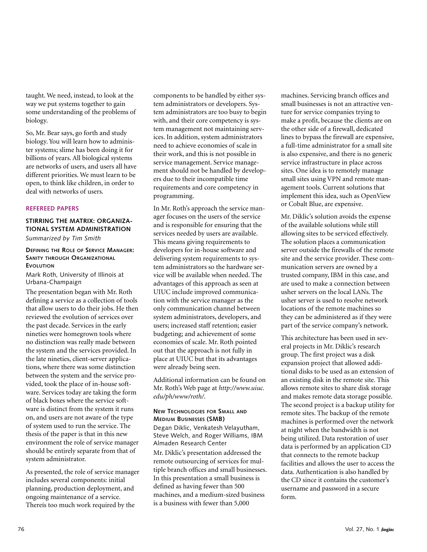taught. We need, instead, to look at the way we put systems together to gain some understanding of the problems of biology.

So, Mr. Bear says, go forth and study biology. You will learn how to administer systems; slime has been doing it for billions of years. All biological systems are networks of users, and users all have different priorities. We must learn to be open, to think like children, in order to deal with networks of users.

#### **REFEREED PAPERS**

#### **STIRRING THE MATRIX: ORGANIZA-TIONAL SYSTEM ADMINISTRATION**  *Summarized by Tim Smith*

#### **DEFINING THE ROLE OF SERVICE MANAGER: SANITY THROUGH ORGANIZATIONAL EVOLUTION**

Mark Roth, University of Illinois at Urbana-Champaign

The presentation began with Mr. Roth defining a service as a collection of tools that allow users to do their jobs. He then reviewed the evolution of services over the past decade. Services in the early nineties were homegrown tools where no distinction was really made between the system and the services provided. In the late nineties, client-server applications, where there was some distinction between the system and the service provided, took the place of in-house software. Services today are taking the form of black boxes where the service software is distinct from the system it runs on, and users are not aware of the type of system used to run the service. The thesis of the paper is that in this new environment the role of service manager should be entirely separate from that of system administrator.

As presented, the role of service manager includes several components: initial planning, production deployment, and ongoing maintenance of a service. Thereís too much work required by the

components to be handled by either system administrators or developers. System administrators are too busy to begin with, and their core competency is system management not maintaining services. In addition, system administrators need to achieve economies of scale in their work, and this is not possible in service management. Service management should not be handled by developers due to their incompatible time requirements and core competency in programming.

In Mr. Roth's approach the service manager focuses on the users of the service and is responsible for ensuring that the services needed by users are available. This means giving requirements to developers for in-house software and delivering system requirements to system administrators so the hardware service will be available when needed. The advantages of this approach as seen at UIUC include improved communication with the service manager as the only communication channel between system administrators, developers, and users; increased staff retention; easier budgeting; and achievement of some economies of scale. Mr. Roth pointed out that the approach is not fully in place at UIUC but that its advantages were already being seen.

Additional information can be found on Mr. Roth's Web page at *http://www.uiuc. edu/ph/www/roth/*.

#### **NEW TECHNOLOGIES FOR SMALL AND MEDIUM BUSINESSES (SMB)**

Degan Diklic, Venkatesh Velayutham, Steve Welch, and Roger Williams, IBM Almaden Research Center

Mr. Diklic's presentation addressed the remote outsourcing of services for multiple branch offices and small businesses. In this presentation a small business is defined as having fewer than 500 machines, and a medium-sized business is a business with fewer than 5,000

machines. Servicing branch offices and small businesses is not an attractive venture for service companies trying to make a profit, because the clients are on the other side of a firewall, dedicated lines to bypass the firewall are expensive, a full-time administrator for a small site is also expensive, and there is no generic service infrastructure in place across sites. One idea is to remotely manage small sites using VPN and remote management tools. Current solutions that implement this idea, such as OpenView or Cobalt Blue, are expensive.

Mr. Diklic's solution avoids the expense of the available solutions while still allowing sites to be serviced effectively. The solution places a communication server outside the firewalls of the remote site and the service provider. These communication servers are owned by a trusted company, IBM in this case, and are used to make a connection between usher servers on the local LANs. The usher server is used to resolve network locations of the remote machines so they can be administered as if they were part of the service company's network.

This architecture has been used in several projects in Mr. Diklic's research group. The first project was a disk expansion project that allowed additional disks to be used as an extension of an existing disk in the remote site. This allows remote sites to share disk storage and makes remote data storage possible. The second project is a backup utility for remote sites. The backup of the remote machines is performed over the network at night when the bandwidth is not being utilized. Data restoration of user data is performed by an application CD that connects to the remote backup facilities and allows the user to access the data. Authentication is also handled by the CD since it contains the customer's username and password in a secure form.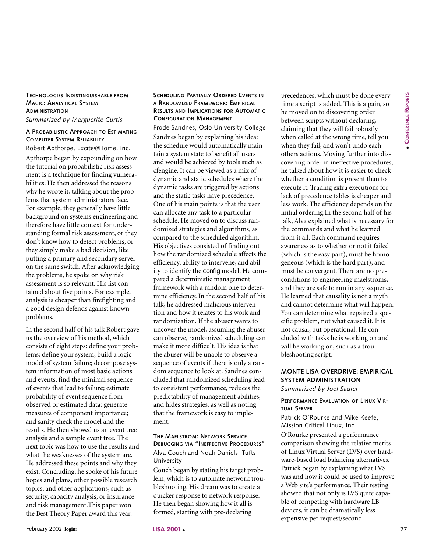# **TECHNOLOGIES INDISTINGUISHABLE FROM MAGIC: ANALYTICAL SYSTEM ADMINISTRATION**

*Summarized by Marguerite Curtis*

#### **A PROBABILISTIC APPROACH TO ESTIMATING COMPUTER SYSTEM RELIABILITY** Robert Apthorpe, Excite@Home, Inc.

Apthorpe began by expounding on how the tutorial on probabilistic risk assessment is a technique for finding vulnerabilities. He then addressed the reasons why he wrote it, talking about the problems that system administrators face. For example, they generally have little background on systems engineering and therefore have little context for understanding formal risk assessment, or they don't know how to detect problems, or they simply make a bad decision, like putting a primary and secondary server on the same switch. After acknowledging the problems, he spoke on why risk assessment is so relevant. His list contained about five points. For example, analysis is cheaper than firefighting and a good design defends against known problems.

In the second half of his talk Robert gave us the overview of his method, which consists of eight steps: define your problems; define your system; build a logic model of system failure; decompose system information of most basic actions and events; find the minimal sequence of events that lead to failure; estimate probability of event sequence from observed or estimated data; generate measures of component importance; and sanity check the model and the results. He then showed us an event tree analysis and a sample event tree. The next topic was how to use the results and what the weaknesses of the system are. He addressed these points and why they exist. Concluding, he spoke of his future hopes and plans, other possible research topics, and other applications, such as security, capacity analysis, or insurance and risk management.This paper won the Best Theory Paper award this year.

#### **SCHEDULING PARTIALLY ORDERED EVENTS IN A RANDOMIZED FRAMEWORK: EMPIRICAL RESULTS AND IMPLICATIONS FOR AUTOMATIC CONFIGURATION MANAGEMENT**

February Controlline in the system at the best controlline in the system at the system at the system at the system at the system at the system at the system at the system at the system at the system at the system at the s Frode Sandnes, Oslo University College Sandnes began by explaining his idea: the schedule would automatically maintain a system state to benefit all users and would be achieved by tools such as cfengine. It can be viewed as a mix of dynamic and static schedules where the dynamic tasks are triggered by actions and the static tasks have precedence. One of his main points is that the user can allocate any task to a particular schedule. He moved on to discuss randomized strategies and algorithms, as compared to the scheduled algorithm. His objectives consisted of finding out how the randomized schedule affects the efficiency, ability to intervene, and ability to identify the config model. He compared a deterministic management framework with a random one to determine efficiency. In the second half of his talk, he addressed malicious intervention and how it relates to his work and randomization. If the abuser wants to uncover the model, assuming the abuser can observe, randomized scheduling can make it more difficult. His idea is that the abuser will be unable to observe a sequence of events if there is only a random sequence to look at. Sandnes concluded that randomized scheduling lead to consistent performance, reduces the predictability of management abilities, and hides strategies, as well as noting that the framework is easy to implement.

#### **THE MAELSTROM: NETWORK SERVICE DEBUGGING VIA "INEFFECTIVE PROCEDURES"** Alva Couch and Noah Daniels, Tufts University

Couch began by stating his target problem, which is to automate network troubleshooting. His dream was to create a quicker response to network response. He then began showing how it all is formed, starting with pre-declaring

precedences, which must be done every time a script is added. This is a pain, so he moved on to discovering order between scripts without declaring, claiming that they will fail robustly when called at the wrong time, tell you when they fail, and won't undo each others actions. Moving further into discovering order in ineffective procedures, he talked about how it is easier to check whether a condition is present than to execute it. Trading extra executions for lack of precedence tables is cheaper and less work. The efficiency depends on the initial ordering.In the second half of his talk, Alva explained what is necessary for the commands and what he learned from it all. Each command requires awareness as to whether or not it failed (which is the easy part), must be homogeneous (which is the hard part), and must be convergent. There are no preconditions to engineering maelstroms, and they are safe to run in any sequence. He learned that causality is not a myth and cannot determine what will happen. You can determine what repaired a specific problem, not what caused it. It is not causal, but operational. He concluded with tasks he is working on and will be working on, such as a troubleshooting script.

## **MONTE LISA OVERDRIVE: EMPIRICAL SYSTEM ADMINISTRATION**

*Summarized by Joel Sadler*

#### **PERFORMANCE EVALUATION OF LINUX VIR-TUAL SERVER**

Patrick O'Rourke and Mike Keefe, Mission Critical Linux, Inc.

O'Rourke presented a performance comparison showing the relative merits of Linux Virtual Server (LVS) over hardware-based load balancing alternatives. Patrick began by explaining what LVS was and how it could be used to improve a Web site's performance. Their testing showed that not only is LVS quite capable of competing with hardware LB devices, it can be dramatically less expensive per request/second.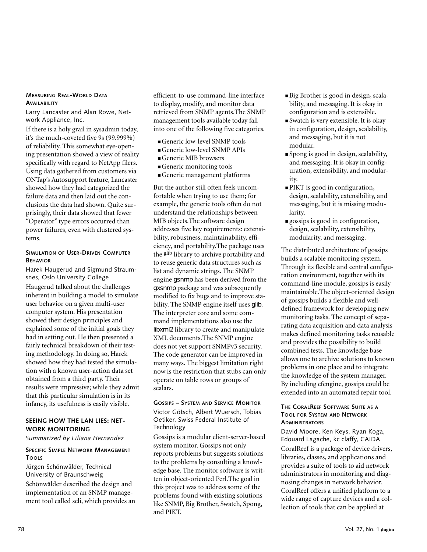#### **MEASURING REAL-WORLD DATA AVAILABILITY**

Larry Lancaster and Alan Rowe, Network Appliance, Inc.

If there is a holy grail in sysadmin today, it's the much-coveted five 9s (99.999%) of reliability. This somewhat eye-opening presentation showed a view of reality specifically with regard to NetApp filers. Using data gathered from customers via ONTap's Autosupport feature, Lancaster showed how they had categorized the failure data and then laid out the conclusions the data had shown. Quite surprisingly, their data showed that fewer "Operator" type errors occurred than power failures, even with clustered systems.

#### **SIMULATION OF USER-DRIVEN COMPUTER BEHAVIOR**

Harek Haugerud and Sigmund Straumsnes, Oslo University College Haugerud talked about the challenges inherent in building a model to simulate user behavior on a given multi-user computer system. His presentation showed their design principles and explained some of the initial goals they had in setting out. He then presented a fairly technical breakdown of their testing methodology. In doing so, Harek showed how they had tested the simulation with a known user-action data set obtained from a third party. Their results were impressive; while they admit that this particular simulation is in its infancy, its usefulness is easily visible.

#### **SEEING HOW THE LAN LIES: NET-WORK MONITORING**

*Summarized by Liliana Hernandez*

#### **SPECIFIC SIMPLE NETWORK MANAGEMENT TOOLS**

Jürgen Schönwälder, Technical University of Braunschweig

Schönwälder described the design and implementation of an SNMP management tool called scli, which provides an efficient-to-use command-line interface to display, modify, and monitor data retrieved from SNMP agents.The SNMP management tools available today fall into one of the following five categories.

- Generic low-level SNMP tools
- Generic low-level SNMP APIs
- Generic MIB browsers
- Generic monitoring tools
- Generic management platforms

But the author still often feels uncomfortable when trying to use them; for example, the generic tools often do not understand the relationships between MIB objects.The software design addresses five key requirements: extensibility, robustness, maintainability, efficiency, and portability.The package uses the <sup>glib</sup> library to archive portability and to reuse generic data structures such as list and dynamic strings. The SNMP engine gsnmp has been derived from the gxsnmp package and was subsequently modified to fix bugs and to improve stability. The SNMP engine itself uses glib. The interpreter core and some command implementations also use the libxml2 library to create and manipulate XML documents.The SNMP engine does not yet support SNMPv3 security. The code generator can be improved in many ways. The biggest limitation right now is the restriction that stubs can only operate on table rows or groups of scalars.

#### **GOSSIPS – SYSTEM AND SERVICE MONITOR** Victor Götsch, Albert Wuersch, Tobias Oetiker, Swiss Federal Institute of **Technology**

Gossips is a modular client-server-based system monitor. Gossips not only reports problems but suggests solutions to the problems by consulting a knowledge base. The monitor software is written in object-oriented Perl.The goal in this project was to address some of the problems found with existing solutions like SNMP, Big Brother, Swatch, Spong, and PIKT.

- Big Brother is good in design, scalability, and messaging. It is okay in configuration and is extensible.
- Swatch is very extensible. It is okay in configuration, design, scalability, and messaging, but it is not modular.
- Spong is good in design, scalability, and messaging. It is okay in configuration, extensibility, and modularity.
- PIKT is good in configuration, design, scalability, extensibility, and messaging, but it is missing modularity.
- gossips is good in configuration, design, scalability, extensibility, modularity, and messaging.

The distributed architecture of gossips builds a scalable monitoring system. Through its flexible and central configuration environment, together with its command-line module, gossips is easily maintainable.The object-oriented design of gossips builds a flexible and welldefined framework for developing new monitoring tasks. The concept of separating data acquisition and data analysis makes defined monitoring tasks reusable and provides the possibility to build combined tests. The knowledge base allows one to archive solutions to known problems in one place and to integrate the knowledge of the system manager. By including cfengine, gossips could be extended into an automated repair tool.

#### **THE CORALREEF SOFTWARE SUITE AS A TOOL FOR SYSTEM AND NETWORK ADMINISTRATORS**

David Moore, Ken Keys, Ryan Koga, Edouard Lagache, kc claffy, CAIDA CoralReef is a package of device drivers, libraries, classes, and applications and provides a suite of tools to aid network administrators in monitoring and diagnosing changes in network behavior. CoralReef offers a unified platform to a wide range of capture devices and a collection of tools that can be applied at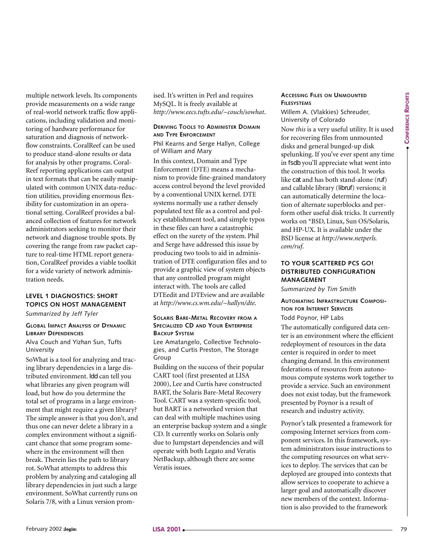**CONFERENCE CONFERENCE REPORTS** 

multiple network levels. Its components provide measurements on a wide range of real-world network traffic flow applications, including validation and monitoring of hardware performance for saturation and diagnosis of networkflow constraints. CoralReef can be used to produce stand-alone results or data for analysis by other programs. Coral-Reef reporting applications can output in text formats that can be easily manipulated with common UNIX data-reduction utilities, providing enormous flexibility for customization in an operational setting. CoralReef provides a balanced collection of features for network administrators seeking to monitor their network and diagnose trouble spots. By covering the range from raw packet capture to real-time HTML report generation, CoralReef provides a viable toolkit for a wide variety of network administration needs.

# **LEVEL 1 DIAGNOSTICS: SHORT TOPICS ON HOST MANAGEMENT**

*Summarized by Jeff Tyler*

#### **GLOBAL IMPACT ANALYSIS OF DYNAMIC LIBRARY DEPENDENCIES**

Alva Couch and Yizhan Sun, Tufts University

SoWhat is a tool for analyzing and tracing library dependencies in a large distributed environment. ldd can tell you what libraries any given program will load, but how do you determine the total set of programs in a large environment that might require a given library? The simple answer is that you don't, and thus one can never delete a library in a complex environment without a significant chance that some program somewhere in the environment will then break. Therein lies the path to library rot. SoWhat attempts to address this problem by analyzing and cataloging all library dependencies in just such a large environment. SoWhat currently runs on Solaris 7/8, with a Linux version promised. It's written in Perl and requires MySQL. It is freely available at *http://www.eecs.tufts.edu/~couch/sowhat*.

#### **DERIVING TOOLS TO ADMINISTER DOMAIN AND TYPE ENFORCEMENT**

Phil Kearns and Serge Hallyn, College of William and Mary

**c** product state-hold continue and behavior continue and continue and continue and continue and continue and continue and continue and continue and continue and continue and continue and continue and continue and continue In this context, Domain and Type Enforcement (DTE) means a mechanism to provide fine-grained mandatory access control beyond the level provided by a conventional UNIX kernel. DTE systems normally use a rather densely populated text file as a control and policy establishment tool, and simple typos in these files can have a catastrophic effect on the surety of the system. Phil and Serge have addressed this issue by producing two tools to aid in administration of DTE configuration files and to provide a graphic view of system objects that any controlled program might interact with. The tools are called DTEedit and DTEview and are available at *http://www.cs.wm.edu/~hallyn/dte*.

#### **SOLARIS BARE-METAL RECOVERY FROM A SPECIALIZED CD AND YOUR ENTERPRISE BACKUP SYSTEM**

Lee Amatangelo, Collective Technologies, and Curtis Preston, The Storage Group

Building on the success of their popular CART tool (first presented at LISA 2000), Lee and Curtis have constructed BART, the Solaris Bare-Metal Recovery Tool. CART was a system-specific tool, but BART is a networked version that can deal with multiple machines using an enterprise backup system and a single CD. It currently works on Solaris only due to Jumpstart dependencies and will operate with both Legato and Veratis NetBackup, although there are some Veratis issues.

#### **ACCESSING FILES ON UNMOUNTED FILESYSTEMS**

Willem A. (Vlakkies) Schreuder, University of Colorado

Now *this* is a very useful utility. It is used for recovering files from unmounted disks and general bunged-up disk spelunking. If you've ever spent any time in fsdb you'll appreciate what went into the construction of this tool. It works like cat and has both stand-alone (ruf) and callable library (libruf) versions; it can automatically determine the location of alternate superblocks and perform other useful disk tricks. It currently works on \*BSD, Linux, Sun OS/Solaris, and HP-UX. It is available under the BSD license at *http://www.netperls. com/ruf*.

# **TO YOUR SCATTERED PCS GO! DISTRIBUTED CONFIGURATION MANAGEMENT**

*Summarized by Tim Smith*

**AUTOMATING INFRASTRUCTURE COMPOSI-TION FOR INTERNET SERVICES** Todd Poynor, HP Labs

The automatically configured data center is an environment where the efficient redeployment of resources in the data center is required in order to meet changing demand. In this environment federations of resources from autonomous compute systems work together to provide a service. Such an environment does not exist today, but the framework presented by Poynor is a result of research and industry activity.

Poynor's talk presented a framework for composing Internet services from component services. In this framework, system administrators issue instructions to the computing resources on what services to deploy. The services that can be deployed are grouped into contexts that allow services to cooperate to achieve a larger goal and automatically discover new members of the context. Information is also provided to the framework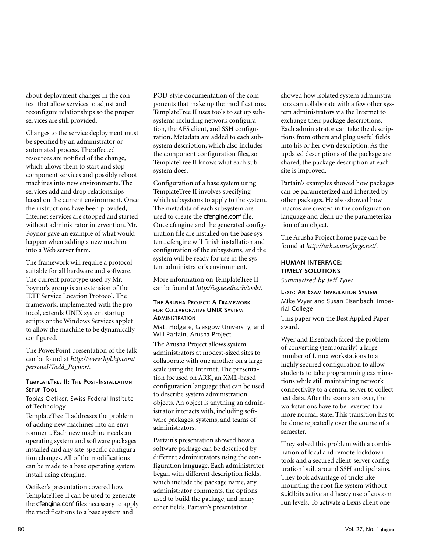about deployment changes in the context that allow services to adjust and reconfigure relationships so the proper services are still provided.

Changes to the service deployment must be specified by an administrator or automated process. The affected resources are notified of the change, which allows them to start and stop component services and possibly reboot machines into new environments. The services add and drop relationships based on the current environment. Once the instructions have been provided, Internet services are stopped and started without administrator intervention. Mr. Poynor gave an example of what would happen when adding a new machine into a Web server farm.

The framework will require a protocol suitable for all hardware and software. The current prototype used by Mr. Poynor's group is an extension of the IETF Service Location Protocol. The framework, implemented with the protocol, extends UNIX system startup scripts or the Windows Services applet to allow the machine to be dynamically configured.

The PowerPoint presentation of the talk can be found at *http://www.hpl.hp.com/ personal/Todd\_Poynor/*.

#### **TEMPLATETREE II: THE POST-INSTALLATION SETUP TOOL**

Tobias Oetiker, Swiss Federal Institute of Technology

TemplateTree II addresses the problem of adding new machines into an environment. Each new machine needs an operating system and software packages installed and any site-specific configuration changes. All of the modifications can be made to a base operating system install using cfengine.

Oetiker's presentation covered how TemplateTree II can be used to generate the cfengine.conf files necessary to apply the modifications to a base system and

POD-style documentation of the components that make up the modifications. TemplateTree II uses tools to set up subsystems including network configuration, the AFS client, and SSH configuration. Metadata are added to each subsystem description, which also includes the component configuration files, so TemplateTree II knows what each subsystem does.

Configuration of a base system using TemplateTree II involves specifying which subsystems to apply to the system. The metadata of each subsystem are used to create the cfengine.conf file. Once cfengine and the generated configuration file are installed on the base system, cfengine will finish installation and configuration of the subsystems, and the system will be ready for use in the system administrator's environment.

More information on TemplateTree II can be found at *http://isg.ee.ethz.ch/tools/*.

#### **THE ARUSHA PROJECT: A FRAMEWORK FOR COLLABORATIVE UNIX SYSTEM ADMINISTRATION**

Matt Holgate, Glasgow University, and Will Partain, Arusha Project

The Arusha Project allows system administrators at modest-sized sites to collaborate with one another on a large scale using the Internet. The presentation focused on ARK, an XML-based configuration language that can be used to describe system administration objects. An object is anything an administrator interacts with, including software packages, systems, and teams of administrators.

Partain's presentation showed how a software package can be described by different administrators using the configuration language. Each administrator began with different description fields, which include the package name, any administrator comments, the options used to build the package, and many other fields. Partain's presentation

showed how isolated system administrators can collaborate with a few other system administrators via the Internet to exchange their package descriptions. Each administrator can take the descriptions from others and plug useful fields into his or her own description. As the updated descriptions of the package are shared, the package description at each site is improved.

Partain's examples showed how packages can be parameterized and inherited by other packages. He also showed how macros are created in the configuration language and clean up the parameterization of an object.

The Arusha Project home page can be found at *http://ark.sourceforge.net/*.

# **HUMAN INTERFACE: TIMELY SOLUTIONS**

*Summarized by Jeff Tyler*

**LEXIS: AN EXAM INVIGILATION SYSTEM** Mike Wyer and Susan Eisenbach, Imperial College

This paper won the Best Applied Paper award.

Wyer and Eisenbach faced the problem of converting (temporarily) a large number of Linux workstations to a highly secured configuration to allow students to take programming examinations while still maintaining network connectivity to a central server to collect test data. After the exams are over, the workstations have to be reverted to a more normal state. This transition has to be done repeatedly over the course of a semester.

They solved this problem with a combination of local and remote lockdown tools and a secured client-server configuration built around SSH and ipchains. They took advantage of tricks like mounting the root file system without suid bits active and heavy use of custom run levels. To activate a Lexis client one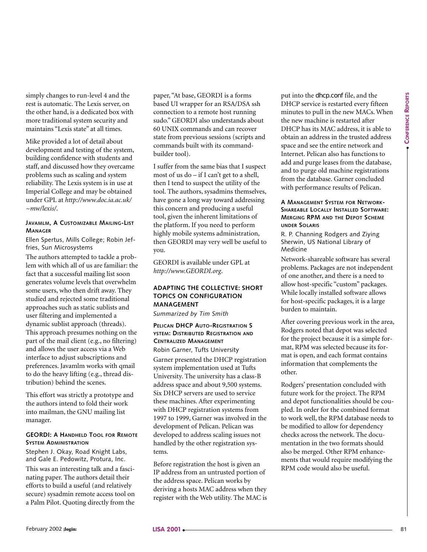simply changes to run-level 4 and the rest is automatic. The Lexis server, on the other hand, is a dedicated box with more traditional system security and maintains "Lexis state" at all times.

Mike provided a lot of detail about development and testing of the system, building confidence with students and staff, and discussed how they overcame problems such as scaling and system reliability. The Lexis system is in use at Imperial College and may be obtained under GPL at *http://www.doc.ia.ac.uk/ ~mw/lexis/*.

#### **JAVAMLM, A CUSTOMIZABLE MAILING-LIST MANAGER**

Ellen Spertus, Mills College; Robin Jeffries, Sun Microsystems

The authors attempted to tackle a problem with which all of us are familiar: the fact that a successful mailing list soon generates volume levels that overwhelm some users, who then drift away. They studied and rejected some traditional approaches such as static sublists and user filtering and implemented a dynamic sublist approach (threads). This approach presumes nothing on the part of the mail client (e.g., no filtering) and allows the user access via a Web interface to adjust subscriptions and preferences. Javamlm works with qmail to do the heavy lifting (e.g., thread distribution) behind the scenes.

This effort was strictly a prototype and the authors intend to fold their work into mailman, the GNU mailing list manager.

#### **GEORDI: A HANDHELD TOOL FOR REMOTE SYSTEM ADMINISTRATION**

Stephen J. Okay, Road Knight Labs, and Gale E. Pedowitz, Protura, Inc. This was an interesting talk and a fascinating paper. The authors detail their efforts to build a useful (and relatively secure) sysadmin remote access tool on a Palm Pilot. Quoting directly from the

paper, "At base, GEORDI is a forms based UI wrapper for an RSA/DSA ssh connection to a remote host running sudo." GEORDI also understands about 60 UNIX commands and can recover state from previous sessions (scripts and commands built with its commandbuilder tool).

I suffer from the same bias that I suspect most of us do – if I can't get to a shell, then I tend to suspect the utility of the tool. The authors, sysadmins themselves, have gone a long way toward addressing this concern and producing a useful tool, given the inherent limitations of the platform. If you need to perform highly mobile systems administration, then GEORDI may very well be useful to you.

GEORDI is available under GPL at *http://www.GEORDI.org*.

#### **ADAPTING THE COLLECTIVE: SHORT TOPICS ON CONFIGURATION MANAGEMENT**

*Summarized by Tim Smith*

# **PELICAN DHCP AUTO-REGISTRATION S YSTEM: DISTRIBUTED REGISTRATION AND CENTRALIZED MANAGEMENT**

Robin Garner, Tufts University Garner presented the DHCP registration system implementation used at Tufts University. The university has a class-B address space and about 9,500 systems. Six DHCP servers are used to service these machines. After experimenting with DHCP registration systems from 1997 to 1999, Garner was involved in the development of Pelican. Pelican was developed to address scaling issues not handled by the other registration sys-

tems.

Before registration the host is given an IP address from an untrusted portion of the address space. Pelican works by deriving a hosts MAC address when they register with the Web utility. The MAC is put into the dhcp.conf file, and the DHCP service is restarted every fifteen minutes to pull in the new MACs. When the new machine is restarted after DHCP has its MAC address, it is able to obtain an address in the trusted address space and see the entire network and Internet. Pelican also has functions to add and purge leases from the database, and to purge old machine registrations from the database. Garner concluded with performance results of Pelican.

#### **A MANAGEMENT SYSTEM FOR NETWORK-SHAREABLE LOCALLY INSTALLED SOFTWARE: MERGING RPM AND THE DEPOT SCHEME UNDER SOLARIS**

R. P. Channing Rodgers and Ziying Sherwin, US National Library of Medicine

Network-shareable software has several problems. Packages are not independent of one another, and there is a need to allow host-specific "custom" packages. While locally installed software allows for host-specific packages, it is a large burden to maintain.

After covering previous work in the area, Rodgers noted that depot was selected for the project because it is a simple format, RPM was selected because its format is open, and each format contains information that complements the other.

Rodgers' presentation concluded with future work for the project. The RPM and depot functionalities should be coupled. In order for the combined format to work well, the RPM database needs to be modified to allow for dependency checks across the network. The documentation in the two formats should also be merged. Other RPM enhancements that would require modifying the RPM code would also be useful.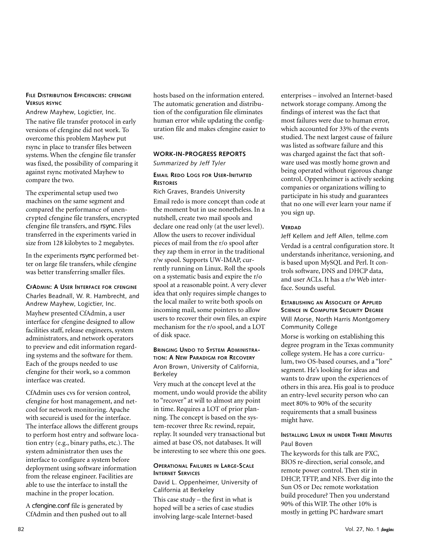#### **FILE DISTRIBUTION EFFICIENCIES: CFENGINE VERSUS RSYNC**

Andrew Mayhew, Logictier, Inc. The native file transfer protocol in early versions of cfengine did not work. To overcome this problem Mayhew put rsync in place to transfer files between systems. When the cfengine file transfer was fixed, the possibility of comparing it against rsync motivated Mayhew to compare the two.

The experimental setup used two machines on the same segment and compared the performance of unencrypted cfengine file transfers, encrypted cfengine file transfers, and rsync. Files transferred in the experiments varied in size from 128 kilobytes to 2 megabytes.

In the experiments rsync performed better on large file transfers, while cfengine was better transferring smaller files.

#### **CFADMIN: A USER INTERFACE FOR CFENGINE**

Charles Beadnall, W. R. Hambrecht, and Andrew Mayhew, Logictier, Inc.

Mayhew presented CfAdmin, a user interface for cfengine designed to allow facilities staff, release engineers, system administrators, and network operators to preview and edit information regarding systems and the software for them. Each of the groups needed to use cfengine for their work, so a common interface was created.

CfAdmin uses cvs for version control, cfengine for host management, and netcool for network monitoring. Apache with secureid is used for the interface. The interface allows the different groups to perform host entry and software location entry (e.g., binary paths, etc.). The system administrator then uses the interface to configure a system before deployment using software information from the release engineer. Facilities are able to use the interface to install the machine in the proper location.

A cfengine.conf file is generated by CfAdmin and then pushed out to all hosts based on the information entered. The automatic generation and distribution of the configuration file eliminates human error while updating the configuration file and makes cfengine easier to use.

#### **WORK-IN-PROGRESS REPORTS**  *Summarized by Jeff Tyler*

#### **EMAIL REDO LOGS FOR USER-INITIATED RESTORES**

Rich Graves, Brandeis University Email redo is more concept than code at the moment but in use nonetheless. In a nutshell, create two mail spools and declare one read only (at the user level). Allow the users to recover individual pieces of mail from the r/o spool after they zap them in error in the traditional r/w spool. Supports UW-IMAP, currently running on Linux. Roll the spools on a systematic basis and expire the r/o spool at a reasonable point. A very clever idea that only requires simple changes to the local mailer to write both spools on incoming mail, some pointers to allow users to recover their own files, an expire mechanism for the r/o spool, and a LOT of disk space.

#### **BRINGING UNDO TO SYSTEM ADMINISTRA-TION: A NEW PARADIGM FOR RECOVERY** Aron Brown, University of California, Berkeley

Very much at the concept level at the moment, undo would provide the ability to "recover" at will to almost any point in time. Requires a LOT of prior planning. The concept is based on the system-recover three Rs: rewind, repair, replay. It sounded very transactional but aimed at base OS, not databases. It will be interesting to see where this one goes.

#### **OPERATIONAL FAILURES IN LARGE-SCALE INTERNET SERVICES**

David L. Oppenheimer, University of California at Berkeley

This case study – the first in what is hoped will be a series of case studies involving large-scale Internet-based

enterprises – involved an Internet-based network storage company. Among the findings of interest was the fact that most failures were due to human error, which accounted for 33% of the events studied. The next largest cause of failure was listed as software failure and this was charged against the fact that software used was mostly home grown and being operated without rigorous change control. Oppenheimer is actively seeking companies or organizations willing to participate in his study and guarantees that no one will ever learn your name if you sign up.

#### **VERDAD**

Jeff Kellem and Jeff Allen, tellme.com Verdad is a central configuration store. It understands inheritance, versioning, and is based upon MySQL and Perl. It controls software, DNS and DHCP data, and user ACLs. It has a r/w Web interface. Sounds useful.

#### **ESTABLISHING AN ASSOCIATE OF APPLIED SCIENCE IN COMPUTER SECURITY DEGREE**

#### Will Morse, North Harris Montgomery Community College

Morse is working on establishing this degree program in the Texas community college system. He has a core curriculum, two OS-based courses, and a "lore" segment. He's looking for ideas and wants to draw upon the experiences of others in this area. His goal is to produce an entry-level security person who can meet 80% to 90% of the security requirements that a small business might have.

#### **INSTALLING LINUX IN UNDER THREE MINUTES** Paul Boven

The keywords for this talk are PXC, BIOS re-direction, serial console, and remote power control. Then stir in DHCP, TFTP, and NFS. Ever dig into the Sun OS or Dec remote workstation build procedure? Then you understand 90% of this WIP. The other 10% is mostly in getting PC hardware smart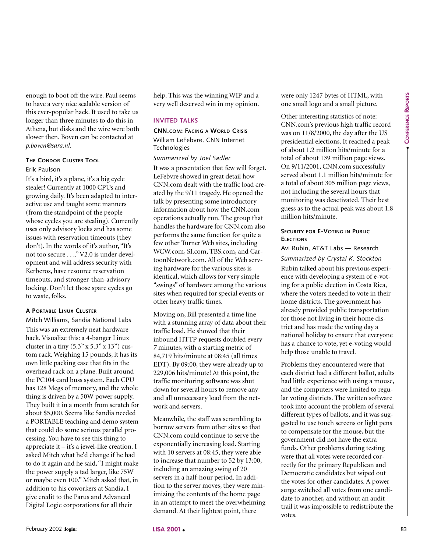enough to boot off the wire. Paul seems to have a very nice scalable version of this ever-popular hack. It used to take us longer than three minutes to do this in Athena, but disks and the wire were both slower then. Boven can be contacted at *p.boven@sara.nl*.

#### **THE CONDOR CLUSTER TOOL** Erik Paulson

It's a bird, it's a plane, it's a big cycle stealer! Currently at 1000 CPUs and growing daily. It's been adapted to interactive use and taught some manners (from the standpoint of the people whose cycles you are stealing). Currently uses only advisory locks and has some issues with reservation timeouts (they don't). In the words of it's author, "It's not too secure . . .." V2.0 is under development and will address security with Kerberos, have resource reservation timeouts, and stronger-than-advisory locking. Don't let those spare cycles go to waste, folks.

#### **A PORTABLE LINUX CLUSTER**

Mitch Williams, Sandia National Labs

This was an extremely neat hardware hack. Visualize this: a 4-banger Linux cluster in a tiny  $(5.3" \times 5.3" \times 13")$  custom rack. Weighing 15 pounds, it has its own little packing case that fits in the overhead rack on a plane. Built around the PC104 card buss system. Each CPU has 128 Megs of memory, and the whole thing is driven by a 50W power supply. They built it in a month from scratch for about \$5,000. Seems like Sandia needed a PORTABLE teaching and demo system that could do some serious parallel processing. You have to see this thing to appreciate it – it's a jewel-like creation. I asked Mitch what he'd change if he had to do it again and he said, "I might make the power supply a tad larger, like 75W or maybe even 100." Mitch asked that, in addition to his coworkers at Sandia, I give credit to the Parus and Advanced Digital Logic corporations for all their February 2002 **Example 12 Example 2013 Fermino February 3 Fermino February 12 Fermino February 12 Fermino February 12 Fermino February 12 Fermino February 12 Fermino February 12 Fermino February 12 Fer** 

help. This was the winning WIP and a very well deserved win in my opinion.

#### **INVITED TALKS**

#### **CNN.COM: FACING A WORLD CRISIS** William LeFebvre, CNN Internet **Technologies**

#### *Summarized by Joel Sadler*

It was a presentation that few will forget. LeFebvre showed in great detail how CNN.com dealt with the traffic load created by the 9/11 tragedy. He opened the talk by presenting some introductory information about how the CNN.com operations actually run. The group that handles the hardware for CNN.com also performs the same function for quite a few other Turner Web sites, including WCW.com, SI.com, TBS.com, and CartoonNetwork.com. All of the Web serving hardware for the various sites is identical, which allows for very simple "swings" of hardware among the various sites when required for special events or other heavy traffic times.

Moving on, Bill presented a time line with a stunning array of data about their traffic load. He showed that their inbound HTTP requests doubled every *7* minutes, with a starting metric of 84,719 hits/minute at 08:45 (all times EDT). By 09:00, they were already up to 229,006 hits/minute! At this point, the traffic monitoring software was shut down for several hours to remove any and all unnecessary load from the network and servers.

Meanwhile, the staff was scrambling to borrow servers from other sites so that CNN.com could continue to serve the exponentially increasing load. Starting with 10 servers at 08:45, they were able to increase that number to 52 by 13:00, including an amazing swing of 20 servers in a half-hour period. In addition to the server moves, they were minimizing the contents of the home page in an attempt to meet the overwhelming demand. At their lightest point, there

were only 1247 bytes of HTML, with one small logo and a small picture.

Other interesting statistics of note: CNN.com's previous high traffic record was on 11/8/2000, the day after the US presidential elections. It reached a peak of about 1.2 million hits/minute for a total of about 139 million page views. On 9/11/2001, CNN.com successfully served about 1.1 million hits/minute for a total of about 305 million page views, not including the several hours that monitoring was deactivated. Their best guess as to the actual peak was about 1.8 million hits/minute.

#### **SECURITY FOR E-VOTING IN PUBLIC ELECTIONS**

Avi Rubin, AT&T Labs — Research *Summarized by Crystal K. Stockton* Rubin talked about his previous experience with developing a system of e-voting for a public election in Costa Rica, where the voters needed to vote in their home districts. The government has already provided public transportation for those not living in their home district and has made the voting day a national holiday to ensure that everyone has a chance to vote, yet e-voting would help those unable to travel.

Problems they encountered were that each district had a different ballot, adults had little experience with using a mouse, and the computers were limited to regular voting districts. The written software took into account the problem of several different types of ballots, and it was suggested to use touch screens or light pens to compensate for the mouse, but the government did not have the extra funds. Other problems during testing were that all votes were recorded correctly for the primary Republican and Democratic candidates but wiped out the votes for other candidates. A power surge switched all votes from one candidate to another, and without an audit trail it was impossible to redistribute the votes.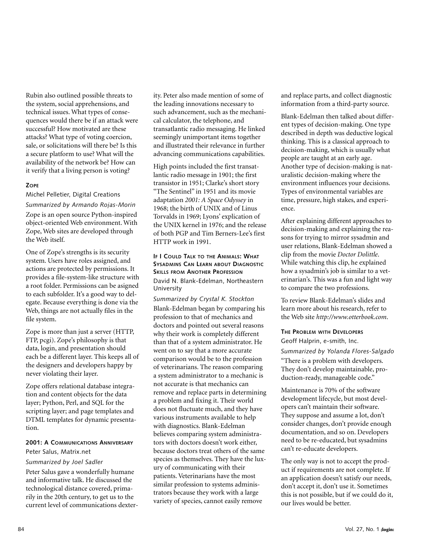Rubin also outlined possible threats to the system, social apprehensions, and technical issues. What types of consequences would there be if an attack were successful? How motivated are these attacks? What type of voting coercion, sale, or solicitations will there be? Is this a secure platform to use? What will the availability of the network be? How can it verify that a living person is voting?

#### **ZOPE**

Michel Pelletier, Digital Creations

*Summarized by Armando Rojas-Morin*

Zope is an open source Python-inspired object-oriented Web environment. With Zope, Web sites are developed through the Web itself.

One of Zope's strengths is its security system. Users have roles assigned, and actions are protected by permissions. It provides a file-system-like structure with a root folder. Permissions can be asigned to each subfolder. It's a good way to delegate. Because everything is done via the Web, things are not actually files in the file system.

Zope is more than just a server (HTTP, FTP, pcgi). Zope's philosophy is that data, login, and presentation should each be a different layer. This keeps all of the designers and developers happy by never violating their layer.

Zope offers relational database integration and content objects for the data layer; Python, Perl, and SQL for the scripting layer; and page templates and DTML templates for dynamic presentation.

# **2001: A COMMUNICATIONS ANNIVERSARY**

Peter Salus, Matrix.net

#### *Summarized by Joel Sadler*

Peter Salus gave a wonderfully humane and informative talk. He discussed the technological distance covered, primarily in the 20th century, to get us to the current level of communications dexterity. Peter also made mention of some of the leading innovations necessary to such advancement, such as the mechanical calculator, the telephone, and transatlantic radio messaging. He linked seemingly unimportant items together and illustrated their relevance in further advancing communications capabilities.

High points included the first transatlantic radio message in 1901; the first transistor in 1951; Clarke's short story "The Sentinel" in 1951 and its movie adaptation *2001: A Space Odyssey* in 1968; the birth of UNIX and of Linus Torvalds in 1969; Lyons' explication of the UNIX kernel in 1976; and the release of both PGP and Tim Berners-Lee's first HTTP work in 1991.

#### **IF I COULD TALK TO THE ANIMALS: WHAT SYSADMINS CAN LEARN ABOUT DIAGNOSTIC SKILLS FROM ANOTHER PROFESSION** David N. Blank-Edelman, Northeastern University

*Summarized by Crystal K. Stockton* Blank-Edelman began by comparing his profession to that of mechanics and doctors and pointed out several reasons why their work is completely different than that of a system administrator. He went on to say that a more accurate comparison would be to the profession of veterinarians. The reason comparing a system administrator to a mechanic is not accurate is that mechanics can remove and replace parts in determining a problem and fixing it. Their world does not fluctuate much, and they have various instruments available to help with diagnostics. Blank-Edelman believes comparing system administrators with doctors doesn't work either, because doctors treat others of the same species as themselves. They have the luxury of communicating with their patients. Veterinarians have the most similar profession to systems administrators because they work with a large variety of species, cannot easily remove

and replace parts, and collect diagnostic information from a third-party source.

Blank-Edelman then talked about different types of decision-making. One type described in depth was deductive logical thinking. This is a classical approach to decision-making, which is usually what people are taught at an early age. Another type of decision-making is naturalistic decision-making where the environment influences your decisions. Types of environmental variables are time, pressure, high stakes, and experience.

After explaining different approaches to decision-making and explaining the reasons for trying to mirror sysadmin and user relations, Blank-Edelman showed a clip from the movie *Doctor Dolittle*. While watching this clip, he explained how a sysadmin's job is similar to a veterinarian's. This was a fun and light way to compare the two professions.

To review Blank-Edelman's slides and learn more about his research, refer to the Web site *http://www.otterbook.com*.

# **THE PROBLEM WITH DEVELOPERS**

Geoff Halprin, e-smith, Inc.

*Summarized by Yolanda Flores-Salgado* "There is a problem with developers. They don't develop maintainable, production-ready, manageable code."

Maintenance is 70% of the software development lifecycle, but most developers can't maintain their software. They suppose and assume a lot, don't consider changes, don't provide enough documentation, and so on. Developers need to be re-educated, but sysadmins can't re-educate developers.

The only way is not to accept the product if requirements are not complete. If an application doesn't satisfy our needs, don't accept it, don't use it. Sometimes this is not possible, but if we could do it, our lives would be better.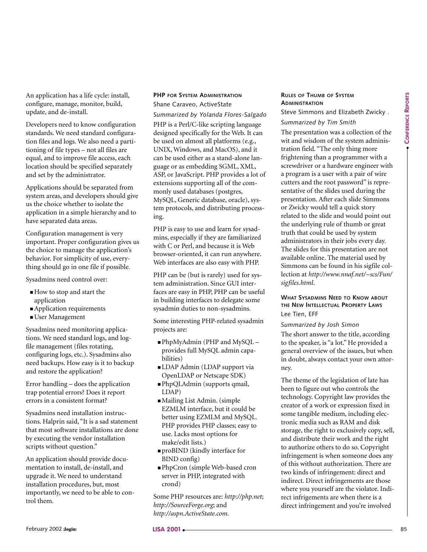**CONFERENCE CONFERENCE REPORTS** 

An application has a life cycle: install, configure, manage, monitor, build, update, and de-install.

Developers need to know configuration standards. We need standard configuration files and logs. We also need a partitioning of file types – not all files are equal, and to improve file access, each location should be specified separately and set by the administrator.

Applications should be separated from system areas, and developers should give us the choice whether to isolate the application in a simple hierarchy and to have separated data areas.

Configuration management is very important. Proper configuration gives us the choice to manage the application's behavior. For simplicity of use, everything should go in one file if possible.

Sysadmins need control over:

- How to stop and start the application
- Application requirements
- User Management

Sysadmins need monitoring applications. We need standard logs, and logfile management (files rotating, configuring logs, etc.). Sysadmins also need backups. How easy is it to backup and restore the application?

Error handling – does the application trap potential errors? Does it report errors in a consistent format?

Sysadmins need installation instructions. Halprin said, "It is a sad statement that most software installations are done by executing the vendor installation scripts without question."

An application should provide documentation to install, de-install, and upgrade it. We need to understand installation procedures, but, most importantly, we need to be able to control them.

#### **PHP FOR SYSTEM ADMINISTRATION** Shane Caraveo, ActiveState

*Summarized by Yolanda Flores-Salgado* PHP is a Perl/C-like scripting language designed specifically for the Web. It can be used on almost all platforms (e.g., UNIX, Windows, and MacOS), and it can be used either as a stand-alone language or as embedding SGML, XML, ASP, or JavaScript. PHP provides a lot of extensions supporting all of the commonly used databases (postgres, MySQL, Generic database, oracle), system protocols, and distributing processing.

PHP is easy to use and learn for sysadmins, especially if they are familiarized with C or Perl, and because it is Web browser-oriented, it can run anywhere. Web interfaces are also easy with PHP.

PHP can be (but is rarely) used for system administration. Since GUI interfaces are easy in PHP, PHP can be useful in building interfaces to delegate some sysadmin duties to non-sysadmins.

Some interesting PHP-related sysadmin projects are:

- PhpMyAdmin (PHP and MySQL provides full MySQL admin capabilities)
- LDAP Admin (LDAP support via OpenLDAP or Netscape SDK)
- PhpQLAdmin (supports qmail, LDAP)
- Mailing List Admin. (simple EZMLM interface, but it could be better using EZMLM and MySQL. PHP provides PHP classes; easy to use. Lacks most options for make/edit lists.)
- proBIND (kindly interface for BIND config)
- PhpCron (simple Web-based cron server in PHP, integrated with crond)

Some PHP resources are: *http://php.net*; *http://SourceForge.org*; and *http://aspn.ActiveState.com.*

# **RULES OF THUMB OF SYSTEM ADMINISTRATION**

Steve Simmons and Elizabeth Zwicky .

# *Summarized by Tim Smith*

itemporal into the same of the line of the same of the same of the same of the same of the same of the same of the same of the same of the same of the same of the same of the same of the same of the same of the same of the The presentation was a collection of the wit and wisdom of the system administration field. "The only thing more frightening than a programmer with a screwdriver or a hardware engineer with a program is a user with a pair of wire cutters and the root password" is representative of the slides used during the presentation. After each slide Simmons or Zwicky would tell a quick story related to the slide and would point out the underlying rule of thumb or great truth that could be used by system administrators in their jobs every day. The slides for this presentation are not available online. The material used by Simmons can be found in his sigfile collection at *http://www.nnaf.net/~scs/Fun/ sigfiles.html*.

#### **WHAT SYSADMINS NEED TO KNOW ABOUT THE NEW INTELLECTUAL PROPERTY LAWS** Lee Tien, EFF

#### *Summarized by Josh Simon*

The short answer to the title, according to the speaker, is "a lot." He provided a general overview of the issues, but when in doubt, always contact your own attorney.

The theme of the legislation of late has been to figure out who controls the technology. Copyright law provides the creator of a work or expression fixed in some tangible medium, including electronic media such as RAM and disk storage, the right to exclusively copy, sell, and distribute their work and the right to authorize others to do so. Copyright infringement is when someone does any of this without authorization. There are two kinds of infringement: direct and indirect. Direct infringements are those where you yourself are the violator. Indirect infrigements are when there is a direct infringement and you're involved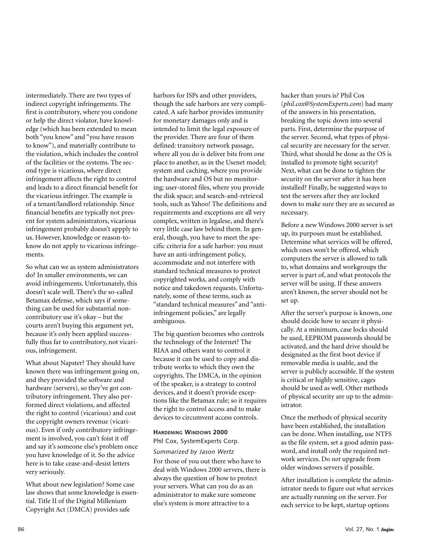intermediately. There are two types of indirect copyright infringements. The first is contributory, where you condone or help the direct violator, have knowledge (which has been extended to mean both "you know" and "you have reason to know"), and materially contribute to the violation, which includes the control of the facilities or the systems. The second type is vicarious, where direct infringement affects the right to control and leads to a direct financial benefit for the vicarious infringer. The example is of a tenant/landlord relationship. Since financial benefits are typically not present for system administrators, vicarious infringement probably doesn't appply to us. However, knowledge or reason-toknow do not apply to vicarious infringements.

So what can we as system administrators do? In smaller environments, we can avoid infringements. Unfortunately, this doesn't scale well. There's the so-called Betamax defense, which says if something can be used for substantial noncontributory use it's okay – but the courts aren't buying this argument yet, because it's only been applied successfully thus far to contributory, not vicarious, infringement.

What about Napster? They should have known there was infringement going on, and they provided the software and hardware (servers), so they've got contributory infringement. They also performed direct violations, and affected the right to control (vicarious) and cost the copyright owners revenue (vicarious). Even if only contributory infringement is involved, you can't foist it off and say it's someone else's problem once you have knowledge of it. So the advice here is to take cease-and-desist letters very seriously.

What about new legislation? Some case law shows that some knowledge is essential. Title II of the Digital Millenium Copyright Act (DMCA) provides safe

harbors for ISPs and other providers, though the safe harbors are very complicated. A safe harbor provides immunity for monetary damages only and is intended to limit the legal exposure of the provider. There are four of them defined: transitory network passage, where all you do is deliver bits from one place to another, as in the Usenet model; system and caching, where you provide the hardware and OS but no monitoring; user-stored files, where you provide the disk space; and search-and-retrieval tools, such as Yahoo! The definitions and requirements and exceptions are all very complex, written in legalese, and there's very little case law behind them. In general, though, you have to meet the specific criteria for a safe harbor: you must have an anti-infringement policy, accommodate and not interfere with standard technical measures to protect copyrighted works, and comply with notice and takedown requests. Unfortunately, some of these terms, such as "standard technical measures" and "antiinfringement policies," are legally ambiguous.

The big question becomes who controls the technology of the Internet? The RIAA and others want to control it because it can be used to copy and distribute works to which they own the copyrights. The DMCA, in the opinion of the speaker, is a strategy to control devices, and it doesn't provide exceptions like the Betamax rule; so it requires the right to control access and to make devices to circumvent access controls.

#### **HARDENING WINDOWS 2000**

Phil Cox, SystemExperts Corp.

*Summarized by Jason Wertz* For those of you out there who have to deal with Windows 2000 servers, there is always the question of how to protect your servers. What can you do as an administrator to make sure someone else's system is more attractive to a

hacker than yours is? Phil Cox (*phil.cox@SystemExperts.com*) had many of the answers in his presentation, breaking the topic down into several parts. First, determine the purpose of the server. Second, what types of physical security are necessary for the server. Third, what should be done as the OS is installed to promote tight security? Next, what can be done to tighten the security on the server after it has been installed? Finally, he suggested ways to test the servers after they are locked down to make sure they are as secured as necessary.

Before a new Windows 2000 server is set up, its purposes must be established. Determine what services will be offered, which ones won't be offered, which computers the server is allowed to talk to, what domains and workgroups the server is part of, and what protocols the server will be using. If these answers aren't known, the server should not be set up.

After the server's purpose is known, one should decide how to secure it physically. At a minimum, case locks should be used, EEPROM passwords should be activated, and the hard drive should be designated as the first boot device if removable media is usable, and the server is publicly accessible. If the system is critical or highly sensitive, cages should be used as well. Other methods of physical security are up to the administrator.

Once the methods of physical security have been established, the installation can be done. When installing, use NTFS as the file system, set a good admin password, and install only the required network services. Do *not* upgrade from older windows servers if possible.

After installation is complete the administrator needs to figure out what services are actually running on the server. For each service to be kept, startup options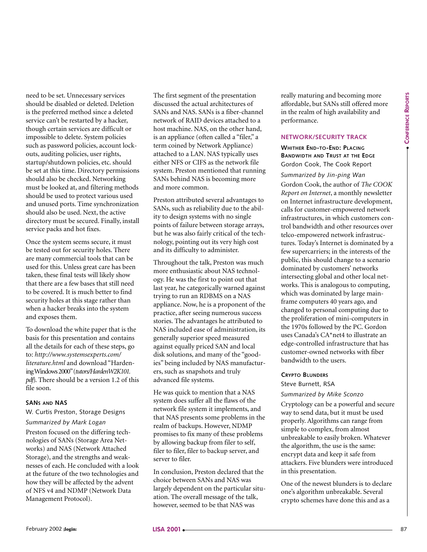need to be set. Unnecessary services should be disabled or deleted. Deletion is the preferred method since a deleted service can't be restarted by a hacker, though certain services are difficult or impossible to delete. System policies such as password policies, account lockouts, auditing policies, user rights, startup/shutdown policies, etc. should be set at this time. Directory permissions should also be checked. Networking must be looked at, and filtering methods should be used to protect various used and unused ports. Time synchronization should also be used. Next, the active directory must be secured. Finally, install service packs and hot fixes.

Once the system seems secure, it must be tested out for security holes. There are many commercial tools that can be used for this. Unless great care has been taken, these final tests will likely show that there are a few bases that still need to be covered. It is much better to find security holes at this stage rather than when a hacker breaks into the system and exposes them.

To download the white paper that is the basis for this presentation and contains all the details for each of these steps, go to: *http://www.systemsexperts.com/ literature.html* and download "Hardening Windows 2000"(*tutors/HardenW2K101. pdf*). There should be a version 1.2 of this file soon.

#### **SANS AND NAS**

W. Curtis Preston, Storage Designs

#### *Summarized by Mark Logan*

Preston focused on the differing technologies of SANs (Storage Area Networks) and NAS (Network Attached Storage), and the strengths and weaknesses of each. He concluded with a look at the future of the two technologies and how they will be affected by the advent of NFS v4 and NDMP (Network Data Management Protocol).

The first segment of the presentation discussed the actual architectures of SANs and NAS. SANs is a fiber-channel network of RAID devices attached to a host machine. NAS, on the other hand, is an appliance (often called a "filer," a term coined by Network Appliance) attached to a LAN. NAS typically uses either NFS or CIFS as the network file system. Preston mentioned that running SANs behind NAS is becoming more and more common.

Preston attributed several advantages to SANs, such as reliability due to the ability to design systems with no single points of failure between storage arrays, but he was also fairly critical of the technology, pointing out its very high cost and its difficulty to administer.

Throughout the talk, Preston was much more enthusiastic about NAS technology. He was the first to point out that last year, he categorically warned against trying to run an RDBMS on a NAS appliance. Now, he is a proponent of the practice, after seeing numerous success stories. The advantages he attributed to NAS included ease of administration, its generally superior speed measured against equally priced SAN and local disk solutions, and many of the "goodies" being included by NAS manufacturers, such as snapshots and truly advanced file systems.

He was quick to mention that a NAS system does suffer all the flaws of the network file system it implements, and that NAS presents some problems in the realm of backups. However, NDMP promises to fix many of these problems by allowing backup from filer to self, filer to filer, filer to backup server, and server to filer.

In conclusion, Preston declared that the choice between SANs and NAS was largely dependent on the particular situation. The overall message of the talk, however, seemed to be that NAS was

really maturing and becoming more affordable, but SANs still offered more in the realm of high availability and performance.

#### **NETWORK/SECURITY TRACK**

#### **WHITHER END-TO-END: PLACING BANDWIDTH AND TRUST AT THE EDGE** Gordon Cook, The Cook Report

one, the main consistent in the main consistent in the main consistent in the main consistent in the main consistent in the main consistent in the main consistent in the main consistent in the set of the set of the set of *Summarized by Jin-ping Wan* Gordon Cook, the author of *The COOK Report on Internet*, a monthly newsletter on Internet infrastructure development, calls for customer-empowered network infrastructures, in which customers control bandwidth and other resources over telco-empowered network infrastructures. Today's Internet is dominated by a few supercarriers; in the interests of the public, this should change to a scenario dominated by customers' networks intersecting global and other local networks. This is analogous to computing, which was dominated by large mainframe computers 40 years ago, and changed to personal computing due to the proliferation of mini-computers in the 1970s followed by the PC. Gordon uses Canada's CA\*net4 to illustrate an edge-controlled infrastructure that has customer-owned networks with fiber bandwidth to the users.

#### **CRYPTO BLUNDERS**

#### Steve Burnett, RSA

#### *Summarized by Mike Sconzo*

Cryptology can be a powerful and secure way to send data, but it must be used properly. Algorithms can range from simple to complex, from almost unbreakable to easily broken. Whatever the algorithm, the use is the same: encrypt data and keep it safe from attackers. Five blunders were introduced in this presentation.

One of the newest blunders is to declare one's algorithm unbreakable. Several crypto schemes have done this and as a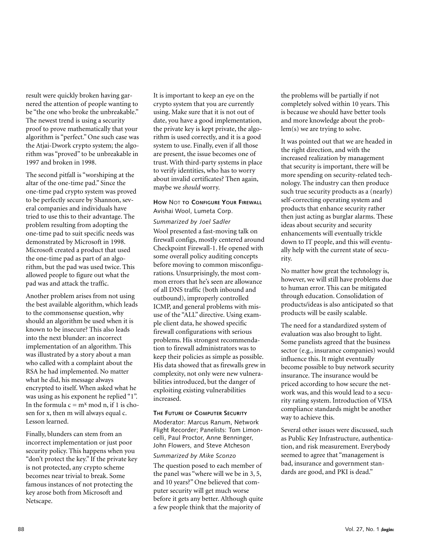result were quickly broken having garnered the attention of people wanting to be "the one who broke the unbreakable." The newest trend is using a security proof to prove mathematically that your algorithm is "perfect." One such case was the Atjai-Dwork crypto system; the algorithm was "proved" to be unbreakable in 1997 and broken in 1998.

The second pitfall is "worshiping at the altar of the one-time pad." Since the one-time pad crypto system was proved to be perfectly secure by Shannon, several companies and individuals have tried to use this to their advantage. The problem resulting from adopting the one-time pad to suit specific needs was demonstrated by Microsoft in 1998. Microsoft created a product that used the one-time pad as part of an algorithm, but the pad was used twice. This allowed people to figure out what the pad was and attack the traffic.

Another problem arises from not using the best available algorithm, which leads to the commonsense question, why should an algorithm be used when it is known to be insecure? This also leads into the next blunder: an incorrect implementation of an algorithm. This was illustrated by a story about a man who called with a complaint about the RSA he had implemented. No matter what he did, his message always encrypted to itself. When asked what he was using as his exponent he replied "1". In the formula  $c = m^x \mod n$ , if 1 is chosen for x, then m will always equal c. Lesson learned.

Finally, blunders can stem from an incorrect implementation or just poor security policy. This happens when you "don't protect the key." If the private key is not protected, any crypto scheme becomes near trivial to break. Some famous instances of not protecting the key arose both from Microsoft and Netscape.

It is important to keep an eye on the crypto system that you are currently using. Make sure that it is not out of date, you have a good implementation, the private key is kept private, the algorithm is used correctly, and it is a good system to use. Finally, even if all those are present, the issue becomes one of trust. With third-party systems in place to verify identities, who has to worry about invalid certificates? Then again, maybe we *should* worry.

# **HOW** NOT **TO CONFIGURE YOUR FIREWALL** Avishai Wool, Lumeta Corp.

*Summarized by Joel Sadler*

Wool presented a fast-moving talk on firewall configs, mostly centered around Checkpoint Firewall-1. He opened with some overall policy auditing concepts before moving to common misconfigurations. Unsurprisingly, the most common errors that he's seen are allowance of all DNS traffic (both inbound and outbound), improperly controlled ICMP, and general problems with misuse of the "ALL" directive. Using example client data, he showed specific firewall configurations with serious problems. His strongest recommendation to firewall administrators was to keep their policies as simple as possible. His data showed that as firewalls grew in complexity, not only were new vulnerabilities introduced, but the danger of exploiting existing vulnerabilities increased.

#### **THE FUTURE OF COMPUTER SECURITY**

Moderator: Marcus Ranum, Network Flight Recorder; Panelists: Tom Limoncelli, Paul Proctor, Anne Benninger, John Flowers, and Steve Atcheson

#### *Summarized by Mike Sconzo*

The question posed to each member of the panel was "where will we be in 3, 5, and 10 years?" One believed that computer security will get much worse before it gets any better. Although quite a few people think that the majority of

the problems will be partially if not completely solved within 10 years. This is because we should have better tools and more knowledge about the problem(s) we are trying to solve.

It was pointed out that we are headed in the right direction, and with the increased realization by management that security is important, there will be more spending on security-related technology. The industry can then produce such true security products as a (nearly) self-correcting operating system and products that enhance security rather then just acting as burglar alarms. These ideas about security and security enhancements will eventually trickle down to IT people, and this will eventually help with the current state of security.

No matter how great the technology is, however, we will still have problems due to human error. This can be mitigated through education. Consolidation of products/ideas is also anticipated so that products will be easily scalable.

The need for a standardized system of evaluation was also brought to light. Some panelists agreed that the business sector (e.g., insurance companies) would influence this. It might eventually become possible to buy network security insurance. The insurance would be priced according to how secure the network was, and this would lead to a security rating system. Introduction of VISA compliance standards might be another way to achieve this.

Several other issues were discussed, such as Public Key Infrastructure, authentication, and risk measurement. Everybody seemed to agree that "management is bad, insurance and government standards are good, and PKI is dead."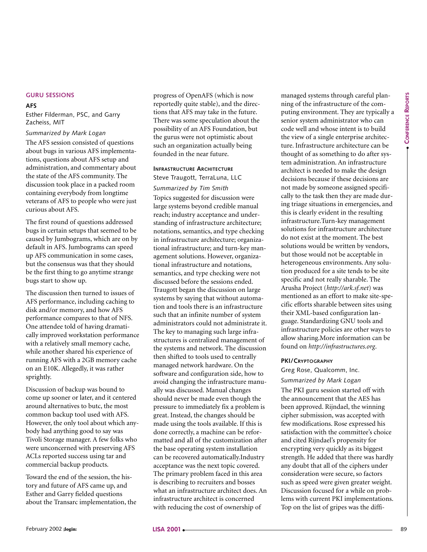#### **GURU SESSIONS**

#### **AFS**

Esther Filderman, PSC, and Garry Zacheiss, MIT

#### *Summarized by Mark Logan*

The AFS session consisted of questions about bugs in various AFS implementations, questions about AFS setup and administration, and commentary about the state of the AFS community. The discussion took place in a packed room containing everybody from longtime veterans of AFS to people who were just curious about AFS.

The first round of questions addressed bugs in certain setups that seemed to be caused by Jumbograms, which are on by default in AFS. Jumbograms can speed up AFS communication in some cases, but the consensus was that they should be the first thing to go anytime strange bugs start to show up.

The discussion then turned to issues of AFS performance, including caching to disk and/or memory, and how AFS performance compares to that of NFS. One attendee told of having dramatically improved workstation performance with a relatively small memory cache, while another shared his experience of running AFS with a 2GB memory cache on an E10K. Allegedly, it was rather sprightly.

Discussion of backup was bound to come up sooner or later, and it centered around alternatives to butc, the most common backup tool used with AFS. However, the only tool about which anybody had anything good to say was Tivoli Storage manager. A few folks who were unconcerned with preserving AFS ACLs reported success using tar and commercial backup products.

Toward the end of the session, the history and future of AFS came up, and Esther and Garry fielded questions about the Transarc implementation, the progress of OpenAFS (which is now reportedly quite stable), and the directions that AFS may take in the future. There was some speculation about the possibility of an AFS Foundation, but the gurus were not optimistic about such an organization actually being founded in the near future.

#### **INFRASTRUCTURE ARCHITECTURE**

Steve Traugott, TerraLuna, LLC *Summarized by Tim Smith*

about the priori various AFS including while the state of the state of the state of the state of the state of the state of the state of the state of the state of the state of the state of the state of the state of the stat Topics suggested for discussion were large systems beyond credible manual reach; industry acceptance and understanding of infrastructure architecture; notations, semantics, and type checking in infrastructure architecture; organizational infrastructure; and turn-key management solutions. However, organizational infrastructure and notations, semantics, and type checking were not discussed before the sessions ended. Traugott began the discussion on large systems by saying that without automation and tools there is an infrastructure such that an infinite number of system administrators could not administrate it. The key to managing such large infrastructures is centralized management of the systems and network. The discussion then shifted to tools used to centrally managed network hardware. On the software and configuration side, how to avoid changing the infrastructure manually was discussed. Manual changes should never be made even though the pressure to immediately fix a problem is great. Instead, the changes should be made using the tools available. If this is done correctly, a machine can be reformatted and all of the customization after the base operating system installation can be recovered automatically.Industry acceptance was the next topic covered. The primary problem faced in this area is describing to recruiters and bosses what an infrastructure architect does. An infrastructure architect is concerned with reducing the cost of ownership of

managed systems through careful planning of the infrastructure of the computing environment. They are typically a senior system administrator who can code well and whose intent is to build the view of a single enterprise architecture. Infrastructure architecture can be thought of as something to do after system administration. An infrastructure architect is needed to make the design decisions because if these decisions are not made by someone assigned specifically to the task then they are made during triage situations in emergencies, and this is clearly evident in the resulting infrastructure.Turn-key management solutions for infrastructure architecture do not exist at the moment. The best solutions would be written by vendors, but those would not be acceptable in heterogeneous environments. Any solution produced for a site tends to be site specific and not really sharable. The Arusha Project (*http://ark.sf.net*) was mentioned as an effort to make site-specific efforts sharable between sites using their XML-based configuration language. Standardizing GNU tools and infrastructure policies are other ways to allow sharing.More information can be found on *http://infrastructures.org*.

#### **PKI/CRYPTOGRAPHY**

Greg Rose, Qualcomm, Inc.

#### *Summarized by Mark Logan*

The PKI guru session started off with the announcement that the AES has been approved. Rijndael, the winning cipher submission, was accepted with few modifications. Rose expressed his satisfaction with the committee's choice and cited Rijndael's propensity for encrypting very quickly as its biggest strength. He added that there was hardly any doubt that all of the ciphers under consideration were secure, so factors such as speed were given greater weight. Discussion focused for a while on problems with current PKI implementations. Top on the list of gripes was the diffi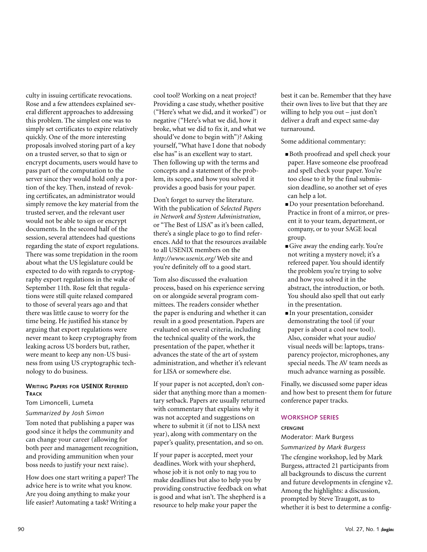culty in issuing certificate revocations. Rose and a few attendees explained several different approaches to addressing this problem. The simplest one was to simply set certificates to expire relatively quickly. One of the more interesting proposals involved storing part of a key on a trusted server, so that to sign or encrypt documents, users would have to pass part of the computation to the server since they would hold only a portion of the key. Then, instead of revoking certificates, an administrator would simply remove the key material from the trusted server, and the relevant user would not be able to sign or encrypt documents. In the second half of the session, several attendees had questions regarding the state of export regulations. There was some trepidation in the room about what the US legislature could be expected to do with regards to cryptography export regulations in the wake of September 11th. Rose felt that regulations were still quite relaxed compared to those of several years ago and that there was little cause to worry for the time being. He justified his stance by arguing that export regulations were never meant to keep cryptography from leaking across US borders but, rather, were meant to keep any non-US business from using US cryptographic technology to do business.

#### **WRITING PAPERS FOR USENIX REFEREED TRACK**

#### Tom Limoncelli, Lumeta

#### *Summarized by Josh Simon*

Tom noted that publishing a paper was good since it helps the community and can change your career (allowing for both peer and management recognition, and providing ammunition when your boss needs to justify your next raise).

How does one start writing a paper? The advice here is to write what you know. Are you doing anything to make your life easier? Automating a task? Writing a

cool tool? Working on a neat project? Providing a case study, whether positive ("Here's what we did, and it worked") or negative ("Here's what we did, how it broke, what we did to fix it, and what we should've done to begin with")? Asking yourself, "What have I done that nobody else has" is an excellent way to start. Then following up with the terms and concepts and a statement of the problem, its scope, and how you solved it provides a good basis for your paper.

Don't forget to survey the literature. With the publication of *Selected Papers in Network and System Administration*, or "The Best of LISA" as it's been called, there's a single place to go to find references. Add to that the resources available to all USENIX members on the *http://www.usenix.org/* Web site and you're definitely off to a good start.

Tom also discussed the evaluation process, based on his experience serving on or alongside several program committees. The readers consider whether the paper is enduring and whether it can result in a good presentation. Papers are evaluated on several criteria, including the technical quality of the work, the presentation of the paper, whether it advances the state of the art of system administration, and whether it's relevant for LISA or somewhere else.

If your paper is not accepted, don't consider that anything more than a momentary setback. Papers are usually returned with commentary that explains why it was not accepted and suggestions on where to submit it (if not to LISA next year), along with commentary on the paper's quality, presentation, and so on.

If your paper is accepted, meet your deadlines. Work with your shepherd, whose job it is not only to nag you to make deadlines but also to help you by providing constructive feedback on what is good and what isn't. The shepherd is a resource to help make your paper the

best it can be. Remember that they have their own lives to live but that they are willing to help you out – just don't deliver a draft and expect same-day turnaround.

Some additional commentary:

- Both proofread and spell check your paper. Have someone else proofread and spell check your paper. You're too close to it by the final submission deadline, so another set of eyes can help a lot.
- Do your presentation beforehand. Practice in front of a mirror, or present it to your team, department, or company, or to your SAGE local group.
- Give away the ending early. You're not writing a mystery novel; it's a refereed paper. You should identify the problem you're trying to solve and how you solved it in the abstract, the introduction, or both. You should also spell that out early in the presentation.
- In your presentation, consider demonstrating the tool (if your paper is about a cool new tool). Also, consider what your audio/ visual needs will be: laptops, transparency projector, microphones, any special needs. The AV team needs as much advance warning as possible.

Finally, we discussed some paper ideas and how best to present them for future conference paper tracks.

#### **WORKSHOP SERIES**

#### **CFENGINE**

Moderator: Mark Burgess

*Summarized by Mark Burgess*

The cfengine workshop, led by Mark Burgess, attracted 21 participants from all backgrounds to discuss the current and future developments in cfengine v2. Among the highlights: a discussion, prompted by Steve Traugott, as to whether it is best to determine a config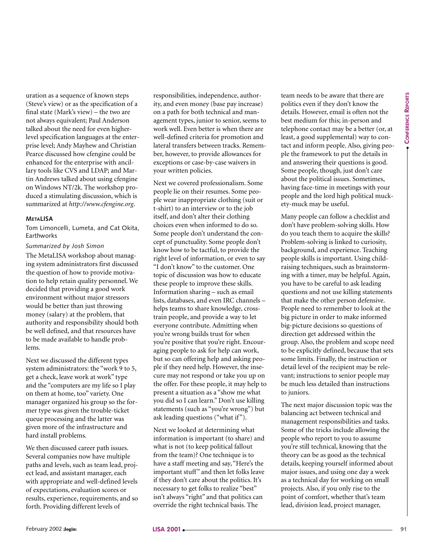uration as a sequence of known steps (Steve's view) or as the specification of a final state (Mark's view) – the two are not always equivalent; Paul Anderson talked about the need for even higherlevel specification languages at the enterprise level; Andy Mayhew and Christian Pearce discussed how cfengine could be enhanced for the enterprise with ancillary tools like CVS and LDAP; and Martin Andrews talked about using cfengine on Windows NT/2k. The workshop produced a stimulating discussion, which is summarized at *http://www.cfengine.org*.

#### **METALISA**

Tom Limoncelli, Lumeta, and Cat Okita, **Farthworks** 

#### *Summarized by Josh Simon*

The MetaLISA workshop about managing system administrators first discussed the question of how to provide motivation to help retain quality personnel. We decided that providing a good work environment without major stressors would be better than just throwing money (salary) at the problem, that authority and responsibility should both be well defined, and that resources have to be made available to handle problems.

Next we discussed the different types system administrators: the "work 9 to 5, get a check, leave work at work" type and the "computers are my life so I play on them at home, too" variety. One manager organized his group so the former type was given the trouble-ticket queue processing and the latter was given more of the infrastructure and hard install problems.

We then discussed career path issues. Several companies now have multiple paths and levels, such as team lead, project lead, and assistant manager, each with appropriate and well-defined levels of expectations, evaluation scores or results, experience, requirements, and so forth. Providing different levels of

responsibilities, independence, authority, and even money (base pay increase) on a path for both technical and management types, junior to senior, seems to work well. Even better is when there are well-defined criteria for promotion and lateral transfers between tracks. Remember, however, to provide allowances for exceptions or case-by-case waivers in your written policies.

Next we covered professionalism. Some people lie on their resumes. Some people wear inappropriate clothing (suit or t-shirt) to an interview or to the job itself, and don't alter their clothing choices even when informed to do so. Some people don't understand the concept of punctuality. Some people don't know how to be tactful, to provide the right level of information, or even to say "I don't know" to the customer. One topic of discussion was how to educate these people to improve these skills. Information sharing – such as email lists, databases, and even IRC channels – helps teams to share knowledge, crosstrain people, and provide a way to let everyone contribute. Admitting when you're wrong builds trust for when you're positive that you're right. Encouraging people to ask for help can work, but so can offering help and asking people if they need help. However, the insecure may not respond or take you up on the offer. For these people, it may help to present a situation as a "show me what you did so I can learn." Don't use killing statements (such as "you're wrong") but ask leading questions ("what if").

Next we looked at determining what information is important (to share) and what is not (to keep political fallout from the team)? One technique is to have a staff meeting and say, "Here's the important stuff" and then let folks leave if they don't care about the politics. It's necessary to get folks to realize "best" isn't always "right" and that politics can override the right technical basis. The

team needs to be aware that there are politics even if they don't know the details. However, email is often not the best medium for this; in-person and telephone contact may be a better (or, at least, a good supplemental) way to contact and inform people. Also, giving people the framework to put the details in and answering their questions is good. Some people, though, just don't care about the political issues. Sometimes, having face-time in meetings with your people and the lord high political muckety-muck may be useful.

Many people can follow a checklist and don't have problem-solving skills. How do you teach them to acquire the skills? Problem-solving is linked to curiosity, background, and experience. Teaching people skills is important. Using childraising techniques, such as brainstorming with a timer, may be helpful. Again, you have to be careful to ask leading questions and not use killing statements that make the other person defensive. People need to remember to look at the big picture in order to make informed big-picture decisions so questions of direction get addressed within the group. Also, the problem and scope need to be explicitly defined, because that sets some limits. Finally, the instruction or detail level of the recipient may be relevant; instructions to senior people may be much less detailed than instructions to juniors.

The next major discussion topic was the balancing act between technical and management responsibilities and tasks. Some of the tricks include allowing the people who report to you to assume you're still technical, knowing that the theory can be as good as the technical details, keeping yourself informed about major issues, and using one day a week as a technical day for working on small projects. Also, if you only rise to the point of comfort, whether that's team lead, division lead, project manager,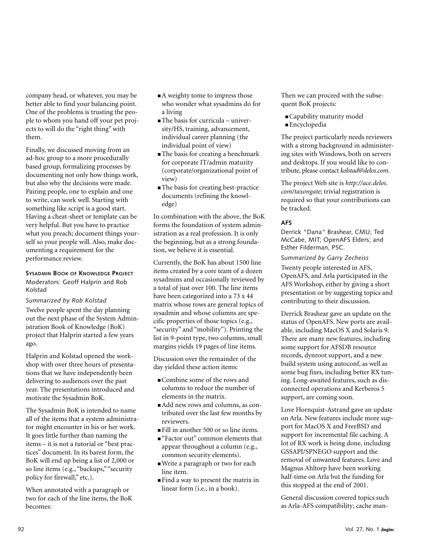company head, or whatever, you may be better able to find your balancing point. One of the problems is trusting the people to whom you hand off your pet projects to will do the "right thing" with them.

Finally, we discussed moving from an ad-hoc group to a more procedurally based group, formalizing processes by documenting not only how things work, but also why the decisions were made. Pairing people, one to explain and one to write, can work well. Starting with something like script is a good start. Having a cheat-sheet or template can be very helpful. But you have to practice what you preach; document things yourself so your people will. Also, make documenting a requirement for the performance review.

#### **SYSADMIN BOOK OF KNOWLEDGE PROJECT**

Moderators: Geoff Halprin and Rob Kolstad

*Summarized by Rob Kolstad* Twelve people spent the day planning out the next phase of the System Administration Book of Knowledge (BoK) project that Halprin started a few years ago.

Halprin and Kolstad opened the workshop with over three hours of presentations that we have independently been delivering to audiences over the past year. The presentations introduced and motivate the Sysadmin BoK.

The Sysadmin BoK is intended to name all of the items that a system administrator might encounter in his or her work. It goes little further than naming the items – it is not a tutorial or "best practices" document. In its barest form, the BoK will end up being a list of 2,000 or so line items (e.g., "backups,""security policy for firewall," etc.).

When annotated with a paragraph or two for each of the line items, the BoK becomes:

- A weighty tome to impress those who wonder what sysadmins do for a living
- The basis for curricula university/HS, training, advancement, individual career planning (the individual point of view)
- The basis for creating a benchmark for corporate IT/admin maturity (corporate/organizational point of view)
- The basis for creating best-practice documents (refining the knowledge)

In combination with the above, the BoK forms the foundation of system administration as a real profession. It is only the beginning, but as a strong foundation, we believe it is essential.

Currently, the BoK has about 1500 line items created by a core team of a dozen sysadmins and occasionally reviewed by a total of just over 100. The line items have been categorized into a 73 x 44 matrix whose rows are general topics of sysadmin and whose columns are specific properties of those topics (e.g., "security" and "mobility"). Printing the list in 9-point type, two columns, small margins yields 19 pages of line items.

Discussion over the remainder of the day yielded these action items:

- Combine some of the rows and columns to reduce the number of elements in the matrix.
- Add new rows and columns, as contributed over the last few months by reviewers.
- Fill in another 500 or so line items.
- "Factor out" common elements that appear throughout a column (e.g., common security elements).
- Write a paragraph or two for each line item.
- Find a way to present the matrix in linear form (i.e., in a book).

Then we can proceed with the subsequent BoK projects:

- Capability maturity model
- Encyclopedia

The project particularly needs reviewers with a strong background in administering sites with Windows, both on servers and desktops. If you would like to contribute, please contact *kolstad@delos.com*.

The project Web site is *http://ace.delos. com/taxongate*; trivial registration is required so that your contributions can be tracked.

#### **AFS**

Derrick "Dana" Brashear, CMU; Ted McCabe, MIT; OpenAFS Elders; and Esther Filderman, PSC.

# *Summarized by Garry Zecheiss*

Twenty people interested in AFS, OpenAFS, and Arla participated in the AFS Workshop, either by giving a short presentation or by suggesting topics and contributing to their discussion.

Derrick Brashear gave an update on the status of OpenAFS. New ports are available, including MacOS X and Solaris 9. There are many new features, including some support for AFSDB resource records, dynroot support, and a new build system using autoconf, as well as some bug fixes, including better RX tuning. Long-awaited features, such as disconnected operations and Kerberos 5 support, are coming soon.

Love Hornquist-Astrand gave an update on Arla. New features include more support for MacOS X and FreeBSD and support for incremental file caching. A lot of RX work is being done, including GSSAPI/SPNEGO support and the removal of unwanted features. Love and Magnus Ahltorp have been working half-time on Arla but the funding for this stopped at the end of 2001.

General discussion covered topics such as Arla-AFS compatibility; cache man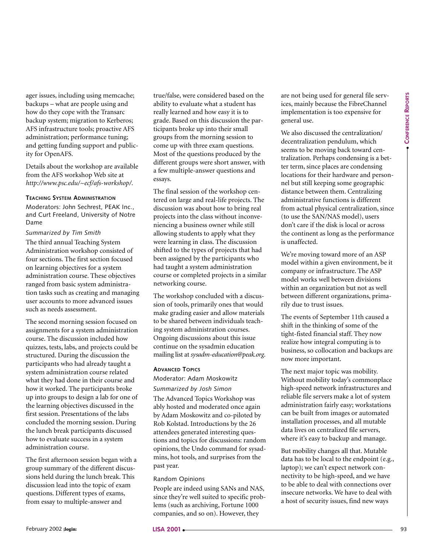ager issues, including using memcache; backups – what are people using and how do they cope with the Transarc backup system; migration to Kerberos; AFS infrastructure tools; proactive AFS administration; performance tuning; and getting funding support and publicity for OpenAFS.

Details about the workshop are available from the AFS workshop Web site at *http://www.psc.edu/~ecf/afs-workshop/*.

#### **TEACHING SYSTEM ADMINISTRATION**

Moderators: John Sechrest, PEAK Inc., and Curt Freeland, University of Notre Dame

#### *Summarized by Tim Smith*

The third annual Teaching System Administration workshop consisted of four sections. The first section focused on learning objectives for a system administration course. These objectives ranged from basic system administration tasks such as creating and managing user accounts to more advanced issues such as needs assessment.

The second morning session focused on assignments for a system administration course. The discussion included how quizzes, tests, labs, and projects could be structured. During the discussion the participants who had already taught a system administration course related what they had done in their course and how it worked. The participants broke up into groups to design a lab for one of the learning objectives discussed in the first session. Presentations of the labs concluded the morning session. During the lunch break participants discussed how to evaluate success in a system administration course. If the propagation interaction of the difference is a state of the state of the state of the state of the state of the state of the state of the state of the state of the state of the state of the state of the state of the

The first afternoon session began with a group summary of the different discussions held during the lunch break. This discussion lead into the topic of exam questions. Different types of exams, from essay to multiple-answer and

true/false, were considered based on the ability to evaluate what a student has really learned and how easy it is to grade. Based on this discussion the participants broke up into their small groups from the morning session to come up with three exam questions. Most of the questions produced by the different groups were short answer, with a few multiple-answer questions and essays.

The final session of the workshop centered on large and real-life projects. The discussion was about how to bring real projects into the class without inconveniencing a business owner while still allowing students to apply what they were learning in class. The discussion shifted to the types of projects that had been assigned by the participants who had taught a system administration course or completed projects in a similar networking course.

The workshop concluded with a discussion of tools, primarily ones that would make grading easier and allow materials to be shared between individuals teaching system administration courses. Ongoing discussions about this issue continue on the sysadmin education mailing list at *sysadm-education@peak.org*.

#### **ADVANCED TOPICS**

Moderator: Adam Moskowitz

*Summarized by Josh Simon*

The Advanced Topics Workshop was ably hosted and moderated once again by Adam Moskowitz and co-piloted by Rob Kolstad. Introductions by the 26 attendees generated interesting questions and topics for discussions: random opinions, the Undo command for sysadmins, hot tools, and surprises from the past year.

#### Random Opinions

People are indeed using SANs and NAS, since they're well suited to specific problems (such as archiving, Fortune 1000 companies, and so on). However, they

are not being used for general file services, mainly because the FibreChannel implementation is too expensive for general use.

We also discussed the centralization/ decentralization pendulum, which seems to be moving back toward centralization. Perhaps condensing is a better term, since places are condensing locations for their hardware and personnel but still keeping some geographic distance between them. Centralizing administrative functions is different from actual physical centralization, since (to use the SAN/NAS model), users don't care if the disk is local or across the continent as long as the performance is unaffected.

We're moving toward more of an ASP model within a given environment, be it company or infrastructure. The ASP model works well between divisions within an organization but not as well between different organizations, primarily due to trust issues.

The events of September 11th caused a shift in the thinking of some of the tight-fisted financial staff. They now realize how integral computing is to business, so collocation and backups are now more important.

The next major topic was mobility. Without mobility today's commonplace high-speed network infrastructures and reliable file servers make a lot of system administration fairly easy; workstations can be built from images or automated installation processes, and all mutable data lives on centralized file servers, where it's easy to backup and manage.

But mobility changes all that. Mutable data has to be local to the endpoint (e.g., laptop); we can't expect network connectivity to be high-speed, and we have to be able to deal with connections over insecure networks. We have to deal with a host of security issues, find new ways